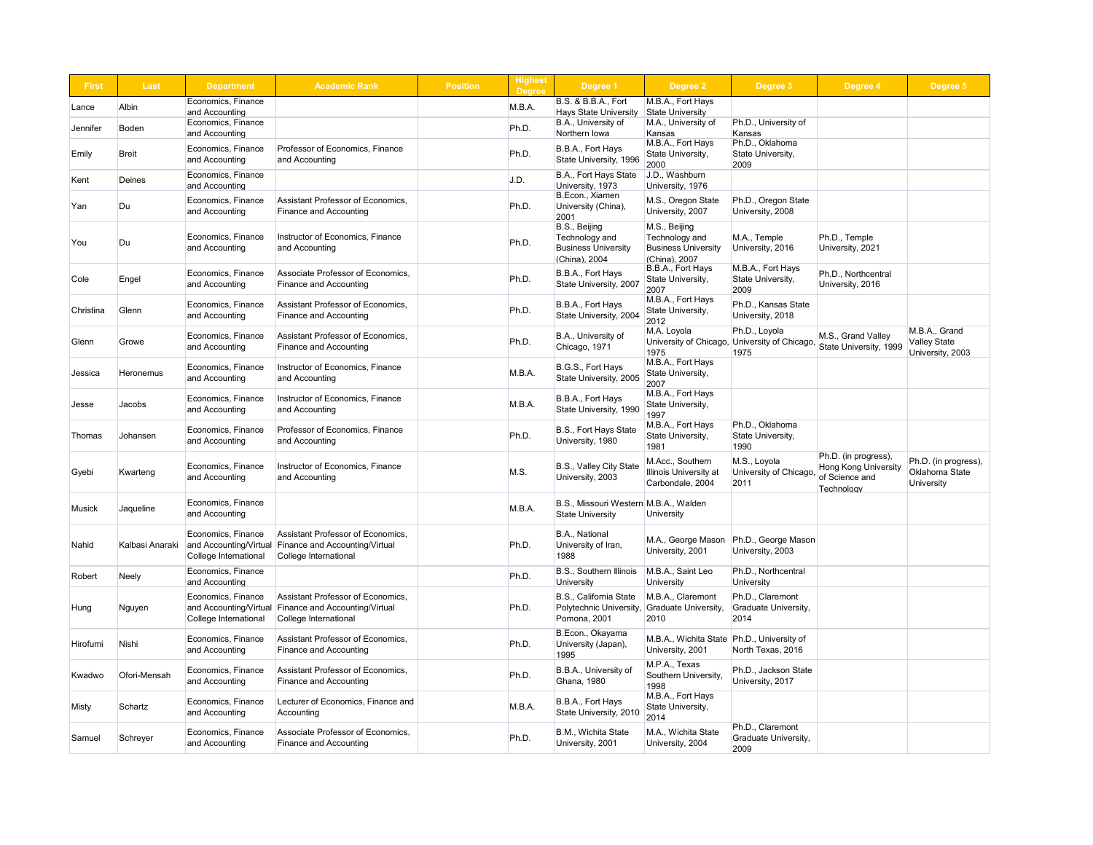| <b>First</b> | Last            | <b>Department</b>                                                     | <b>Academic Rank</b>                                                                                | <b>Position</b> | <b>Highest</b><br><b>Degree</b> | Degree 1                                                                               | <b>Degree 2</b>                                                               | Degree 3                                                | Degree 4                                                                            | Degree 5                                                    |
|--------------|-----------------|-----------------------------------------------------------------------|-----------------------------------------------------------------------------------------------------|-----------------|---------------------------------|----------------------------------------------------------------------------------------|-------------------------------------------------------------------------------|---------------------------------------------------------|-------------------------------------------------------------------------------------|-------------------------------------------------------------|
| Lance        | Albin           | Economics, Finance<br>and Accounting                                  |                                                                                                     |                 | M.B.A.                          | <b>B.S. &amp; B.B.A., Fort</b><br><b>Hays State University</b>                         | M.B.A., Fort Hays<br><b>State University</b>                                  |                                                         |                                                                                     |                                                             |
| Jennifer     | Boden           | Economics, Finance                                                    |                                                                                                     |                 | Ph.D.                           | B.A., University of                                                                    | M.A., University of                                                           | Ph.D., University of                                    |                                                                                     |                                                             |
|              |                 | and Accounting                                                        |                                                                                                     |                 |                                 | Northern lowa                                                                          | Kansas                                                                        | Kansas                                                  |                                                                                     |                                                             |
| Emily        | Breit           | Economics, Finance<br>and Accounting                                  | Professor of Economics, Finance<br>and Accounting                                                   |                 | Ph.D.                           | B.B.A., Fort Hays<br>State University, 1996                                            | M.B.A., Fort Hays<br>State University,<br>2000                                | Ph.D., Oklahoma<br>State University,<br>2009            |                                                                                     |                                                             |
| Kent         | <b>Deines</b>   | Economics, Finance<br>and Accounting                                  |                                                                                                     |                 | J.D.                            | B.A., Fort Hays State<br>University, 1973                                              | J.D., Washburn<br>University, 1976                                            |                                                         |                                                                                     |                                                             |
| Yan          | Du              | Economics, Finance<br>and Accounting                                  | Assistant Professor of Economics,<br>Finance and Accounting                                         |                 | Ph.D.                           | B.Econ., Xiamen<br>University (China),<br>2001                                         | M.S., Oregon State<br>University, 2007                                        | Ph.D., Oregon State<br>University, 2008                 |                                                                                     |                                                             |
| You          | Du              | Economics, Finance<br>and Accounting                                  | Instructor of Economics, Finance<br>and Accounting                                                  |                 | Ph.D.                           | B.S., Beijing<br>Technology and<br><b>Business University</b><br>(China), 2004         | M.S., Beijing<br>Technology and<br><b>Business University</b><br>China), 2007 | M.A., Temple<br>University, 2016                        | Ph.D., Temple<br>University, 2021                                                   |                                                             |
| Cole         | Engel           | Economics, Finance<br>and Accounting                                  | Associate Professor of Economics,<br>Finance and Accounting                                         |                 | Ph.D.                           | B.B.A., Fort Hays<br>State University, 2007                                            | B.B.A., Fort Hays<br>State University,<br>2007                                | M.B.A., Fort Hays<br>State University,<br>2009          | Ph.D., Northcentral<br>University, 2016                                             |                                                             |
| Christina    | Glenn           | Economics, Finance<br>and Accounting                                  | <b>Assistant Professor of Economics,</b><br>Finance and Accounting                                  |                 | Ph.D.                           | B.B.A., Fort Hays<br>State University, 2004                                            | M.B.A., Fort Hays<br>State University,<br>2012                                | Ph.D., Kansas State<br>University, 2018                 |                                                                                     |                                                             |
| Glenn        | Growe           | Economics, Finance<br>and Accounting                                  | <b>Assistant Professor of Economics,</b><br>Finance and Accounting                                  |                 | Ph.D.                           | B.A., University of<br>Chicago, 1971                                                   | M.A. Loyola<br>University of Chicago,<br>1975                                 | Ph.D., Loyola<br>University of Chicago,<br>1975         | M.S., Grand Valley<br>State University, 1999                                        | M.B.A., Grand<br><b>Valley State</b><br>University, 2003    |
| Jessica      | Heronemus       | Economics, Finance<br>and Accounting                                  | Instructor of Economics, Finance<br>and Accounting                                                  |                 | M.B.A.                          | B.G.S., Fort Hays<br>State University, 2005                                            | M.B.A., Fort Hays<br>State University,<br>2007                                |                                                         |                                                                                     |                                                             |
| <b>Jesse</b> | Jacobs          | Economics, Finance<br>and Accounting                                  | Instructor of Economics, Finance<br>and Accounting                                                  |                 | M.B.A.                          | B.B.A., Fort Hays<br>State University, 1990                                            | M.B.A., Fort Hays<br>State University,<br>1997                                |                                                         |                                                                                     |                                                             |
| Thomas       | Johansen        | Economics, Finance<br>and Accounting                                  | Professor of Economics, Finance<br>and Accounting                                                   |                 | Ph.D.                           | B.S., Fort Hays State<br>University, 1980                                              | M.B.A., Fort Hays<br>State University,<br>1981                                | Ph.D., Oklahoma<br>State University,<br>1990            |                                                                                     |                                                             |
| Gyebi        | Kwarteng        | Economics, Finance<br>and Accounting                                  | Instructor of Economics, Finance<br>and Accounting                                                  |                 | M.S.                            | B.S., Valley City State<br>University, 2003                                            | M.Acc., Southern<br>Illinois University at<br>Carbondale, 2004                | M.S., Loyola<br>University of Chicago<br>2011           | Ph.D. (in progress),<br><b>Hong Kong University</b><br>of Science and<br>Technology | Ph.D. (in progress),<br>Oklahoma State<br><b>University</b> |
| Musick       | Jaqueline       | Economics, Finance<br>and Accounting                                  |                                                                                                     |                 | M.B.A.                          | B.S., Missouri Western M.B.A., Walden<br><b>State University</b>                       | University                                                                    |                                                         |                                                                                     |                                                             |
| Nahid        | Kalbasi Anaraki | Economics, Finance<br>and Accounting/Virtual<br>College International | Assistant Professor of Economics,<br><b>Finance and Accounting/Virtual</b><br>College International |                 | Ph.D.                           | B.A., National<br>University of Iran,<br>1988                                          | M.A., George Mason<br>University, 2001                                        | Ph.D., George Mason<br>University, 2003                 |                                                                                     |                                                             |
| Robert       | Neely           | Economics, Finance<br>and Accounting                                  |                                                                                                     |                 | Ph.D.                           | <b>B.S., Southern Illinois</b><br><b>University</b>                                    | M.B.A., Saint Leo<br>University                                               | Ph.D., Northcentral<br><b>University</b>                |                                                                                     |                                                             |
| Hung         | Nguyen          | Economics, Finance<br>and Accounting/Virtual<br>College International | Assistant Professor of Economics,<br><b>Finance and Accounting/Virtual</b><br>College International |                 | Ph.D.                           | B.S., California State<br>Polytechnic University, Graduate University,<br>Pomona, 2001 | M.B.A., Claremont<br>2010                                                     | Ph.D., Claremont<br>Graduate University,<br>2014        |                                                                                     |                                                             |
| Hirofumi     | Nishi           | Economics, Finance<br>and Accounting                                  | Assistant Professor of Economics,<br>Finance and Accounting                                         |                 | Ph.D.                           | B.Econ., Okayama<br>University (Japan),<br>1995                                        | M.B.A., Wichita State   Ph.D., University of<br>University, 2001              | North Texas, 2016                                       |                                                                                     |                                                             |
| Kwadwo       | Ofori-Mensah    | Economics, Finance<br>and Accounting                                  | Assistant Professor of Economics.<br>Finance and Accounting                                         |                 | Ph.D.                           | B.B.A., University of<br>Ghana, 1980                                                   | M.P.A., Texas<br>Southern University,<br>1998                                 | Ph.D., Jackson State<br>University, 2017                |                                                                                     |                                                             |
| Misty        | Schartz         | <b>Economics, Finance</b><br>and Accounting                           | Lecturer of Economics, Finance and<br>Accounting                                                    |                 | M.B.A.                          | B.B.A., Fort Hays<br>State University, 2010 $\frac{1}{2014}$                           | M.B.A., Fort Hays<br>State University,                                        |                                                         |                                                                                     |                                                             |
| Samuel       | Schreyer        | Economics, Finance<br>and Accounting                                  | Associate Professor of Economics,<br>Finance and Accounting                                         |                 | Ph.D.                           | B.M., Wichita State<br>University, 2001                                                | M.A., Wichita State<br>University, 2004                                       | Ph.D., Claremont<br><b>Graduate University,</b><br>2009 |                                                                                     |                                                             |